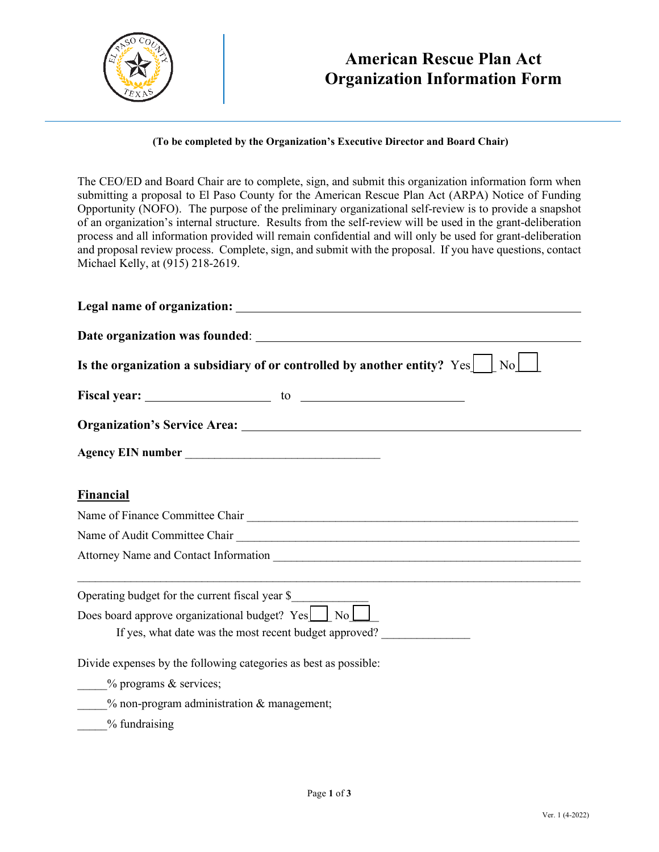

# **American Rescue Plan Act Organization Information Form**

#### **(To be completed by the Organization's Executive Director and Board Chair)**

The CEO/ED and Board Chair are to complete, sign, and submit this organization information form when submitting a proposal to El Paso County for the American Rescue Plan Act (ARPA) Notice of Funding Opportunity (NOFO). The purpose of the preliminary organizational self-review is to provide a snapshot of an organization's internal structure. Results from the self-review will be used in the grant-deliberation process and all information provided will remain confidential and will only be used for grant-deliberation and proposal review process. Complete, sign, and submit with the proposal. If you have questions, contact Michael Kelly, at (915) 218-2619.

| Is the organization a subsidiary of or controlled by another entity? Yes<br>N <sub>o</sub> |  |  |  |  |
|--------------------------------------------------------------------------------------------|--|--|--|--|
|                                                                                            |  |  |  |  |
|                                                                                            |  |  |  |  |
|                                                                                            |  |  |  |  |
| <b>Financial</b>                                                                           |  |  |  |  |
|                                                                                            |  |  |  |  |
| Name of Audit Committee Chair                                                              |  |  |  |  |
|                                                                                            |  |  |  |  |
| Operating budget for the current fiscal year \$                                            |  |  |  |  |
| Does board approve organizational budget? Yes No                                           |  |  |  |  |
| If yes, what date was the most recent budget approved?                                     |  |  |  |  |
| Divide expenses by the following categories as best as possible:                           |  |  |  |  |
| - % programs & services;                                                                   |  |  |  |  |
| $%$ non-program administration $&$ management;                                             |  |  |  |  |
| $\frac{9}{6}$ fundraising                                                                  |  |  |  |  |
|                                                                                            |  |  |  |  |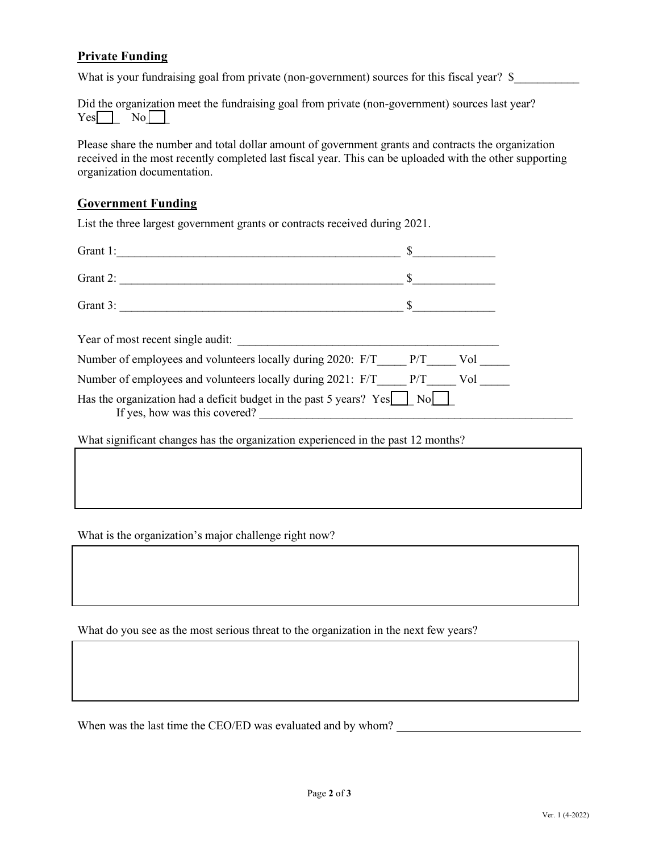### **Private Funding**

What is your fundraising goal from private (non-government) sources for this fiscal year? \$

Did the organization meet the fundraising goal from private (non-government) sources last year?  $Yes$  No

Please share the number and total dollar amount of government grants and contracts the organization received in the most recently completed last fiscal year. This can be uploaded with the other supporting organization documentation.

### **Government Funding**

List the three largest government grants or contracts received during 2021.

| Grant 2:                                                                                                                                     |
|----------------------------------------------------------------------------------------------------------------------------------------------|
|                                                                                                                                              |
| Grant 3:                                                                                                                                     |
| Year of most recent single audit:                                                                                                            |
| Number of employees and volunteers locally during 2020: $F/T$ $P/T$<br>Vol                                                                   |
| Number of employees and volunteers locally during 2021: F/T P/T<br>Vol                                                                       |
| Has the organization had a deficit budget in the past 5 years? Yes $\begin{bmatrix}   & N_0  \end{bmatrix}$<br>If yes, how was this covered? |

What significant changes has the organization experienced in the past 12 months?

What is the organization's major challenge right now?

What do you see as the most serious threat to the organization in the next few years?

When was the last time the CEO/ED was evaluated and by whom?